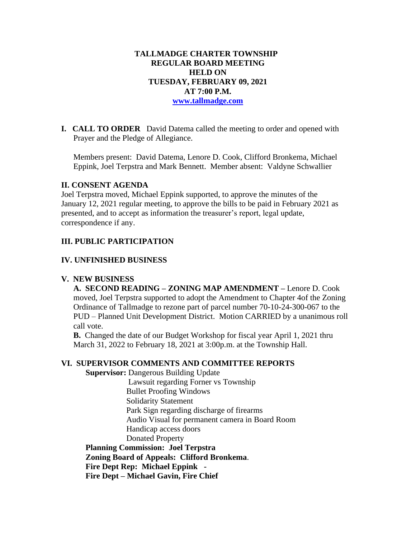#### **TALLMADGE CHARTER TOWNSHIP REGULAR BOARD MEETING HELD ON TUESDAY, FEBRUARY 09, 2021 AT 7:00 P.M. [www.tallmadge.com](http://www.tallmadge.com/)**

**I. CALL TO ORDER** David Datema called the meeting to order and opened with Prayer and the Pledge of Allegiance.

Members present: David Datema, Lenore D. Cook, Clifford Bronkema, Michael Eppink, Joel Terpstra and Mark Bennett. Member absent: Valdyne Schwallier

#### **II. CONSENT AGENDA**

Joel Terpstra moved, Michael Eppink supported, to approve the minutes of the January 12, 2021 regular meeting, to approve the bills to be paid in February 2021 as presented, and to accept as information the treasurer's report, legal update, correspondence if any.

### **III. PUBLIC PARTICIPATION**

#### **IV. UNFINISHED BUSINESS**

#### **V. NEW BUSINESS**

 **A. SECOND READING – ZONING MAP AMENDMENT –** Lenore D. Cook moved, Joel Terpstra supported to adopt the Amendment to Chapter 4of the Zoning Ordinance of Tallmadge to rezone part of parcel number 70-10-24-300-067 to the PUD – Planned Unit Development District. Motion CARRIED by a unanimous roll call vote.

 **B.** Changed the date of our Budget Workshop for fiscal year April 1, 2021 thru March 31, 2022 to February 18, 2021 at 3:00p.m. at the Township Hall.

#### **VI. SUPERVISOR COMMENTS AND COMMITTEE REPORTS**

 **Supervisor:** Dangerous Building Update

 Lawsuit regarding Forner vs Township Bullet Proofing Windows Solidarity Statement Park Sign regarding discharge of firearms Audio Visual for permanent camera in Board Room Handicap access doors Donated Property  **Planning Commission: Joel Terpstra**

 **Zoning Board of Appeals: Clifford Bronkema**.

**Fire Dept Rep: Michael Eppink -**

 **Fire Dept – Michael Gavin, Fire Chief**